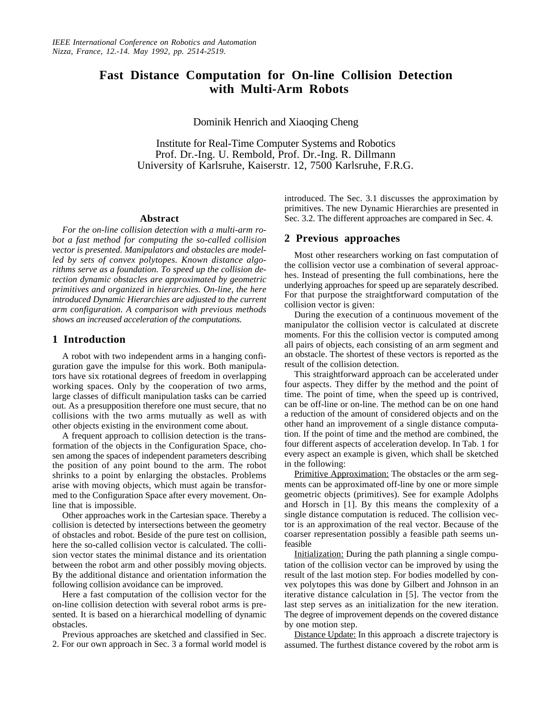# **Fast Distance Computation for On-line Collision Detection with Multi-Arm Robots**

Dominik Henrich and Xiaoqing Cheng

Institute for Real-Time Computer Systems and Robotics Prof. Dr.-Ing. U. Rembold, Prof. Dr.-Ing. R. Dillmann University of Karlsruhe, Kaiserstr. 12, 7500 Karlsruhe, F.R.G.

### **Abstract**

*For the on-line collision detection with a multi-arm robot a fast method for computing the so-called collision vector is presented. Manipulators and obstacles are modelled by sets of convex polytopes. Known distance algorithms serve as a foundation. To speed up the collision detection dynamic obstacles are approximated by geometric primitives and organized in hierarchies. On-line, the here introduced Dynamic Hierarchies are adjusted to the current arm configuration. A comparison with previous methods shows an increased acceleration of the computations.*

# **1 Introduction**

A robot with two independent arms in a hanging configuration gave the impulse for this work. Both manipulators have six rotational degrees of freedom in overlapping working spaces. Only by the cooperation of two arms, large classes of difficult manipulation tasks can be carried out. As a presupposition therefore one must secure, that no collisions with the two arms mutually as well as with other objects existing in the environment come about.

A frequent approach to collision detection is the transformation of the objects in the Configuration Space, chosen among the spaces of independent parameters describing the position of any point bound to the arm. The robot shrinks to a point by enlarging the obstacles. Problems arise with moving objects, which must again be transformed to the Configuration Space after every movement. Online that is impossible.

Other approaches work in the Cartesian space. Thereby a collision is detected by intersections between the geometry of obstacles and robot. Beside of the pure test on collision, here the so-called collision vector is calculated. The collision vector states the minimal distance and its orientation between the robot arm and other possibly moving objects. By the additional distance and orientation information the following collision avoidance can be improved.

Here a fast computation of the collision vector for the on-line collision detection with several robot arms is presented. It is based on a hierarchical modelling of dynamic obstacles.

Previous approaches are sketched and classified in Sec. 2. For our own approach in Sec. 3 a formal world model is introduced. The Sec. 3.1 discusses the approximation by primitives. The new Dynamic Hierarchies are presented in Sec. 3.2. The different approaches are compared in Sec. 4.

# **2 Previous approaches**

Most other researchers working on fast computation of the collision vector use a combination of several approaches. Instead of presenting the full combinations, here the underlying approaches for speed up are separately described. For that purpose the straightforward computation of the collision vector is given:

During the execution of a continuous movement of the manipulator the collision vector is calculated at discrete moments. For this the collision vector is computed among all pairs of objects, each consisting of an arm segment and an obstacle. The shortest of these vectors is reported as the result of the collision detection.

This straightforward approach can be accelerated under four aspects. They differ by the method and the point of time. The point of time, when the speed up is contrived, can be off-line or on-line. The method can be on one hand a reduction of the amount of considered objects and on the other hand an improvement of a single distance computation. If the point of time and the method are combined, the four different aspects of acceleration develop. In Tab. 1 for every aspect an example is given, which shall be sketched in the following:

Primitive Approximation: The obstacles or the arm segments can be approximated off-line by one or more simple geometric objects (primitives). See for example Adolphs and Horsch in [1]. By this means the complexity of a single distance computation is reduced. The collision vector is an approximation of the real vector. Because of the coarser representation possibly a feasible path seems unfeasible

Initialization: During the path planning a single computation of the collision vector can be improved by using the result of the last motion step. For bodies modelled by convex polytopes this was done by Gilbert and Johnson in an iterative distance calculation in [5]. The vector from the last step serves as an initialization for the new iteration. The degree of improvement depends on the covered distance by one motion step.

Distance Update: In this approach a discrete trajectory is assumed. The furthest distance covered by the robot arm is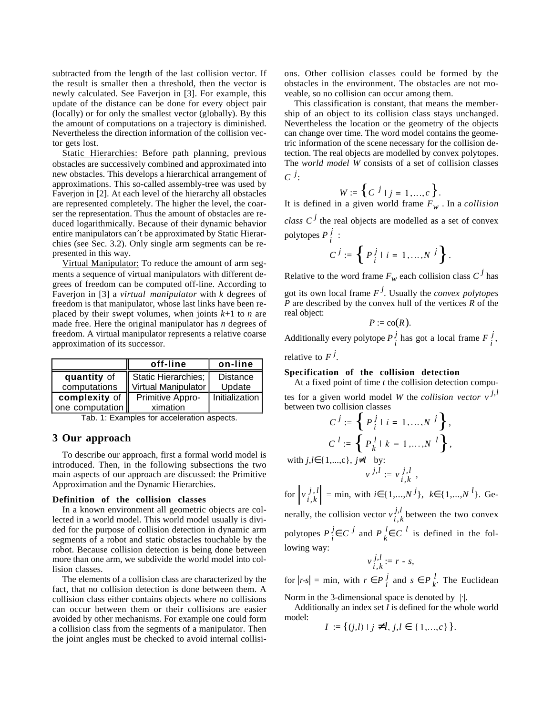subtracted from the length of the last collision vector. If the result is smaller then a threshold, then the vector is newly calculated. See Faverjon in [3]. For example, this update of the distance can be done for every object pair (locally) or for only the smallest vector (globally). By this the amount of computations on a trajectory is diminished. Nevertheless the direction information of the collision vector gets lost.

Static Hierarchies: Before path planning, previous obstacles are successively combined and approximated into new obstacles. This develops a hierarchical arrangement of approximations. This so-called assembly-tree was used by Faverjon in [2]. At each level of the hierarchy all obstacles are represented completely. The higher the level, the coarser the representation. Thus the amount of obstacles are reduced logarithmically. Because of their dynamic behavior entire manipulators can´t be approximated by Static Hierarchies (see Sec. 3.2). Only single arm segments can be represented in this way.

Virtual Manipulator: To reduce the amount of arm segments a sequence of virtual manipulators with different degrees of freedom can be computed off-line. According to Faverjon in [3] a *virtual manipulator* with *k* degrees of freedom is that manipulator, whose last links have been replaced by their swept volumes, when joints *k*+1 to *n* are made free. Here the original manipulator has *n* degrees of freedom. A virtual manipulator represents a relative coarse approximation of its successor.

|                 | off-line            | on-line         |
|-----------------|---------------------|-----------------|
| quantity of     | Static Hierarchies; | <b>Distance</b> |
| computations    | Virtual Manipulator | Update          |
| complexity of   | Primitive Appro-    | Initialization  |
| one computation | ximation            |                 |

Tab. 1: Examples for acceleration aspects.

### **3 Our approach**

To describe our approach, first a formal world model is introduced. Then, in the following subsections the two main aspects of our approach are discussed: the Primitive Approximation and the Dynamic Hierarchies.

## **Definition of the collision classes**

In a known environment all geometric objects are collected in a world model. This world model usually is divided for the purpose of collision detection in dynamic arm segments of a robot and static obstacles touchable by the robot. Because collision detection is being done between more than one arm, we subdivide the world model into collision classes.

The elements of a collision class are characterized by the fact, that no collision detection is done between them. A collision class either contains objects where no collisions can occur between them or their collisions are easier avoided by other mechanisms. For example one could form a collision class from the segments of a manipulator. Then the joint angles must be checked to avoid internal collisions. Other collision classes could be formed by the obstacles in the environment. The obstacles are not moveable, so no collision can occur among them.

This classification is constant, that means the membership of an object to its collision class stays unchanged. Nevertheless the location or the geometry of the objects can change over time. The word model contains the geometric information of the scene necessary for the collision detection. The real objects are modelled by convex polytopes. The *world model W* consists of a set of collision classes  $C^{j}$ :

$$
W := \left\{ C^{-j} \mid j = 1, ..., c \right\}.
$$

It is defined in a given world frame *Fw* . In a *collision*

*class*  $C^{j}$  the real objects are modelled as a set of convex polytopes *P i j* :

$$
C^j := \left\{ P_i^j \mid i = 1, ..., N^j \right\}.
$$

Relative to the word frame  $F_w$  each collision class  $C^j$  has

got its own local frame *F j* . Usually the *convex polytopes P* are described by the convex hull of the vertices *R* of the real object:

$$
P:=\mathrm{co}(R).
$$

Additionally every polytope *P i*  $\frac{1}{i}$  has got a local frame  $F_i$ *j* ,

relative to  $F^j$ .

# **Specification of the collision detection**

At a fixed point of time *t* the collision detection compu $t_{\text{t}}$  and  $t_{\text{t}}$  and  $t_{\text{t}}$  **W** the *collision vector v*  $j, l$ 

tes for a given world model 
$$
W
$$
 the *collision vector*  $v^{\prime\prime}$ 

\nbetween two collision classes

$$
C^{j} := \left\{ P_{i}^{j} \mid i = 1, \ldots, N^{j} \right\},
$$

$$
C^{l} := \left\{ P_{k}^{l} \mid k = 1, \ldots, N^{l} \right\},
$$

 with *j*,*l*∈{1,...,c}, *j*≠*l* by:  $v^{j,l} := v^{j,l}_{i,k}$  $\frac{j,l}{l}$ ,

for  $\left| v_{i,k}^{j,l} \right|$  = min, with *i*∈{1,...,*N*<sup>*j*</sup>}, *k*∈{1,...,*N*<sup>*l*</sup>}. Generally, the collision vector  $v_{i,k}^{j,l}$  between the two convex polytopes  $P_i^j \in C_j^j$  and  $P_k^j$  $l \in C$ <sup> $l$ </sup> is defined in the following way:

$$
v_{i,k}^{j,l} := r - s,
$$

for  $|r-s| = \min$ , with  $r \in P_i$ *j* and *s* ∈ *P*<sup>*l*</sup><sub>*k*</sub> *l* . The Euclidean

Norm in the 3-dimensional space is denoted by  $|\cdot|$ .

Additionally an index set *I* is defined for the whole world model:

$$
I := \{(j,l) \mid j \neq l, j,l \in \{1,\ldots,c\}\}.
$$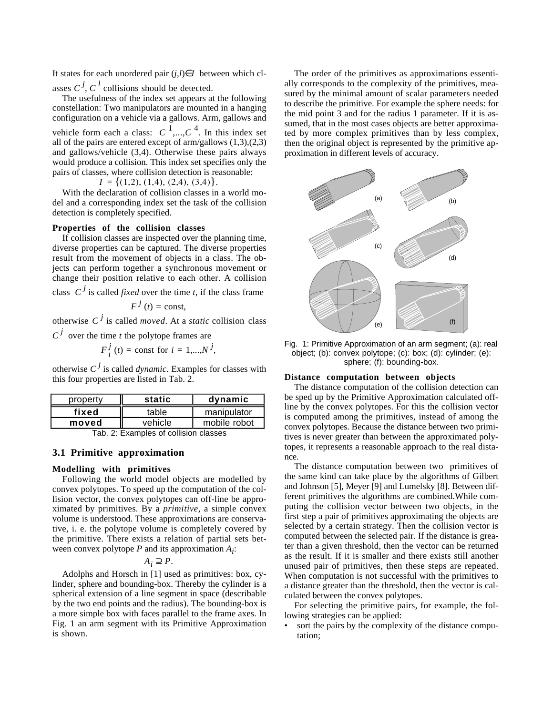It states for each unordered pair (*j,l*)∈*I* between which classes  $C^j$ ,  $C^l$  collisions should be detected.

The usefulness of the index set appears at the following constellation: Two manipulators are mounted in a hanging configuration on a vehicle via a gallows. Arm, gallows and vehicle form each a class:  $C^1$ ,..., $C^4$ . In this index set all of the pairs are entered except of arm/gallows  $(1,3)$ , $(2,3)$ and gallows/vehicle (3,4). Otherwise these pairs always would produce a collision. This index set specifies only the pairs of classes, where collision detection is reasonable:

 $I = \{(1,2), (1,4), (2,4), (3,4)\}.$ 

With the declaration of collision classes in a world model and a corresponding index set the task of the collision detection is completely specified.

## **Properties of the collision classes**

If collision classes are inspected over the planning time, diverse properties can be captured. The diverse properties result from the movement of objects in a class. The objects can perform together a synchronous movement or change their position relative to each other. A collision

class  $C^{j}$  is called *fixed* over the time *t*, if the class frame

$$
F^{\dot{J}}(t)=\mathrm{const},
$$

otherwise  $C^{j}$  is called *moved*. At a *static* collision class

 $C^j$  over the time *t* the polytope frames are

$$
F_i^j(t) = \text{const for } i = 1,...,N^j,
$$

otherwise  $C^{j}$  is called *dynamic*. Examples for classes with this four properties are listed in Tab. 2.

| property                             | static  | dynamic      |
|--------------------------------------|---------|--------------|
| fixed                                | table   | manipulator  |
| moved                                | vehicle | mobile robot |
| Tah 9: Evamples of collision classes |         |              |

#### Tab. 2: Examples of collision classes

# **3.1 Primitive approximation**

#### **Modelling with primitives**

Following the world model objects are modelled by convex polytopes. To speed up the computation of the collision vector, the convex polytopes can off-line be approximated by primitives. By a *primitive*, a simple convex volume is understood. These approximations are conservative, i. e. the polytope volume is completely covered by the primitive. There exists a relation of partial sets between convex polytope *P* and its approximation *Ai* :

# $A_i \supseteq P$ .

Adolphs and Horsch in [1] used as primitives: box, cylinder, sphere and bounding-box. Thereby the cylinder is a spherical extension of a line segment in space (describable by the two end points and the radius). The bounding-box is a more simple box with faces parallel to the frame axes. In Fig. 1 an arm segment with its Primitive Approximation is shown.

The order of the primitives as approximations essentially corresponds to the complexity of the primitives, measured by the minimal amount of scalar parameters needed to describe the primitive. For example the sphere needs: for the mid point 3 and for the radius 1 parameter. If it is assumed, that in the most cases objects are better approximated by more complex primitives than by less complex, then the original object is represented by the primitive approximation in different levels of accuracy.



Fig. 1: Primitive Approximation of an arm segment; (a): real object; (b): convex polytope; (c): box; (d): cylinder; (e): sphere; (f): bounding-box.

## **Distance computation between objects**

The distance computation of the collision detection can be sped up by the Primitive Approximation calculated offline by the convex polytopes. For this the collision vector is computed among the primitives, instead of among the convex polytopes. Because the distance between two primitives is never greater than between the approximated polytopes, it represents a reasonable approach to the real distance.

The distance computation between two primitives of the same kind can take place by the algorithms of Gilbert and Johnson [5], Meyer [9] and Lumelsky [8]. Between different primitives the algorithms are combined.While computing the collision vector between two objects, in the first step a pair of primitives approximating the objects are selected by a certain strategy. Then the collision vector is computed between the selected pair. If the distance is greater than a given threshold, then the vector can be returned as the result. If it is smaller and there exists still another unused pair of primitives, then these steps are repeated. When computation is not successful with the primitives to a distance greater than the threshold, then the vector is calculated between the convex polytopes.

For selecting the primitive pairs, for example, the following strategies can be applied:

• sort the pairs by the complexity of the distance computation;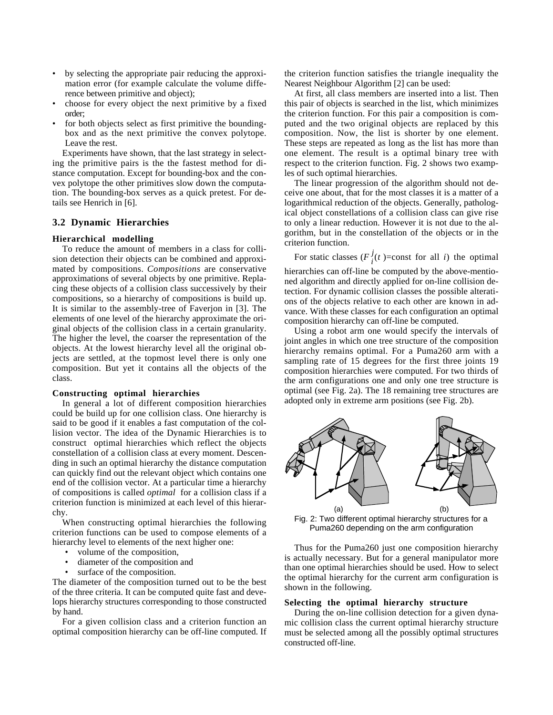- by selecting the appropriate pair reducing the approximation error (for example calculate the volume difference between primitive and object);
- choose for every object the next primitive by a fixed order;
- for both objects select as first primitive the boundingbox and as the next primitive the convex polytope. Leave the rest.

Experiments have shown, that the last strategy in selecting the primitive pairs is the the fastest method for distance computation. Except for bounding-box and the convex polytope the other primitives slow down the computation. The bounding-box serves as a quick pretest. For details see Henrich in [6].

# **3.2 Dynamic Hierarchies**

### **Hierarchical modelling**

To reduce the amount of members in a class for collision detection their objects can be combined and approximated by compositions. *Compositions* are conservative approximations of several objects by one primitive. Replacing these objects of a collision class successively by their compositions, so a hierarchy of compositions is build up. It is similar to the assembly-tree of Faverjon in [3]. The elements of one level of the hierarchy approximate the original objects of the collision class in a certain granularity. The higher the level, the coarser the representation of the objects. At the lowest hierarchy level all the original objects are settled, at the topmost level there is only one composition. But yet it contains all the objects of the class.

#### **Constructing optimal hierarchies**

In general a lot of different composition hierarchies could be build up for one collision class. One hierarchy is said to be good if it enables a fast computation of the collision vector. The idea of the Dynamic Hierarchies is to construct optimal hierarchies which reflect the objects constellation of a collision class at every moment. Descending in such an optimal hierarchy the distance computation can quickly find out the relevant object which contains one end of the collision vector. At a particular time a hierarchy of compositions is called *optimal* for a collision class if a criterion function is minimized at each level of this hierarchy.

When constructing optimal hierarchies the following criterion functions can be used to compose elements of a hierarchy level to elements of the next higher one:

- volume of the composition,
- diameter of the composition and
- surface of the composition.

The diameter of the composition turned out to be the best of the three criteria. It can be computed quite fast and develops hierarchy structures corresponding to those constructed by hand.

For a given collision class and a criterion function an optimal composition hierarchy can be off-line computed. If the criterion function satisfies the triangle inequality the Nearest Neighbour Algorithm [2] can be used:

At first, all class members are inserted into a list. Then this pair of objects is searched in the list, which minimizes the criterion function. For this pair a composition is computed and the two original objects are replaced by this composition. Now, the list is shorter by one element. These steps are repeated as long as the list has more than one element. The result is a optimal binary tree with respect to the criterion function. Fig. 2 shows two examples of such optimal hierarchies.

The linear progression of the algorithm should not deceive one about, that for the most classes it is a matter of a logarithmical reduction of the objects. Generally, pathological object constellations of a collision class can give rise to only a linear reduction. However it is not due to the algorithm, but in the constellation of the objects or in the criterion function.

For static classes  $(F_i^j)$  $\dot{f}(t)$ =const for all *i*) the optimal hierarchies can off-line be computed by the above-mentioned algorithm and directly applied for on-line collision detection. For dynamic collision classes the possible alterations of the objects relative to each other are known in advance. With these classes for each configuration an optimal composition hierarchy can off-line be computed.

Using a robot arm one would specify the intervals of joint angles in which one tree structure of the composition hierarchy remains optimal. For a Puma260 arm with a sampling rate of 15 degrees for the first three joints 19 composition hierarchies were computed. For two thirds of the arm configurations one and only one tree structure is optimal (see Fig. 2a). The 18 remaining tree structures are adopted only in extreme arm positions (see Fig. 2b).



Fig. 2: Two different optimal hierarchy structures for a Puma260 depending on the arm configuration

Thus for the Puma260 just one composition hierarchy is actually necessary. But for a general manipulator more than one optimal hierarchies should be used. How to select the optimal hierarchy for the current arm configuration is shown in the following.

## **Selecting the optimal hierarchy structure**

During the on-line collision detection for a given dynamic collision class the current optimal hierarchy structure must be selected among all the possibly optimal structures constructed off-line.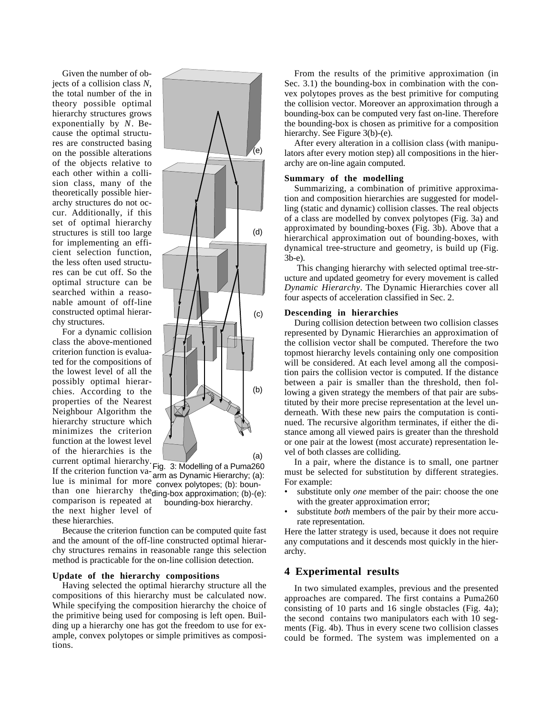Given the number of objects of a collision class *N*, the total number of the in theory possible optimal hierarchy structures grows exponentially by *N*. Because the optimal structures are constructed basing on the possible alterations of the objects relative to each other within a collision class, many of the theoretically possible hierarchy structures do not occur. Additionally, if this set of optimal hierarchy structures is still too large for implementing an efficient selection function, the less often used structures can be cut off. So the optimal structure can be searched within a reasonable amount of off-line constructed optimal hierarchy structures.

For a dynamic collision class the above-mentioned criterion function is evaluated for the compositions of the lowest level of all the possibly optimal hierarchies. According to the properties of the Nearest Neighbour Algorithm the hierarchy structure which minimizes the criterion function at the lowest level of the hierarchies is the current optimal hierarchy.



Fig. 3: Modelling of a Puma260 arm as Dynamic Hierarchy; (a): convex polytopes; (b): bounthan one hierarchy the ding-box approximation; (b)-(e): bounding-box hierarchy. If the criterion function value is minimal for more comparison is repeated at the next higher level of these hierarchies.

Because the criterion function can be computed quite fast and the amount of the off-line constructed optimal hierarchy structures remains in reasonable range this selection method is practicable for the on-line collision detection.

#### **Update of the hierarchy compositions**

Having selected the optimal hierarchy structure all the compositions of this hierarchy must be calculated now. While specifying the composition hierarchy the choice of the primitive being used for composing is left open. Building up a hierarchy one has got the freedom to use for example, convex polytopes or simple primitives as compositions.

From the results of the primitive approximation (in Sec. 3.1) the bounding-box in combination with the convex polytopes proves as the best primitive for computing the collision vector. Moreover an approximation through a bounding-box can be computed very fast on-line. Therefore the bounding-box is chosen as primitive for a composition hierarchy. See Figure 3(b)-(e).

After every alteration in a collision class (with manipulators after every motion step) all compositions in the hierarchy are on-line again computed.

# **Summary of the modelling**

Summarizing, a combination of primitive approximation and composition hierarchies are suggested for modelling (static and dynamic) collision classes. The real objects of a class are modelled by convex polytopes (Fig. 3a) and approximated by bounding-boxes (Fig. 3b). Above that a hierarchical approximation out of bounding-boxes, with dynamical tree-structure and geometry, is build up (Fig. 3b-e).

 This changing hierarchy with selected optimal tree-structure and updated geometry for every movement is called *Dynamic Hierarchy*. The Dynamic Hierarchies cover all four aspects of acceleration classified in Sec. 2.

## **Descending in hierarchies**

During collision detection between two collision classes represented by Dynamic Hierarchies an approximation of the collision vector shall be computed. Therefore the two topmost hierarchy levels containing only one composition will be considered. At each level among all the composition pairs the collision vector is computed. If the distance between a pair is smaller than the threshold, then following a given strategy the members of that pair are substituted by their more precise representation at the level underneath. With these new pairs the computation is continued. The recursive algorithm terminates, if either the distance among all viewed pairs is greater than the threshold or one pair at the lowest (most accurate) representation level of both classes are colliding.

In a pair, where the distance is to small, one partner must be selected for substitution by different strategies. For example:

- substitute only *one* member of the pair: choose the one with the greater approximation error;
- substitute *both* members of the pair by their more accurate representation.

Here the latter strategy is used, because it does not require any computations and it descends most quickly in the hierarchy.

# **4 Experimental results**

In two simulated examples, previous and the presented approaches are compared. The first contains a Puma260 consisting of 10 parts and 16 single obstacles (Fig. 4a); the second contains two manipulators each with 10 segments (Fig. 4b). Thus in every scene two collision classes could be formed. The system was implemented on a